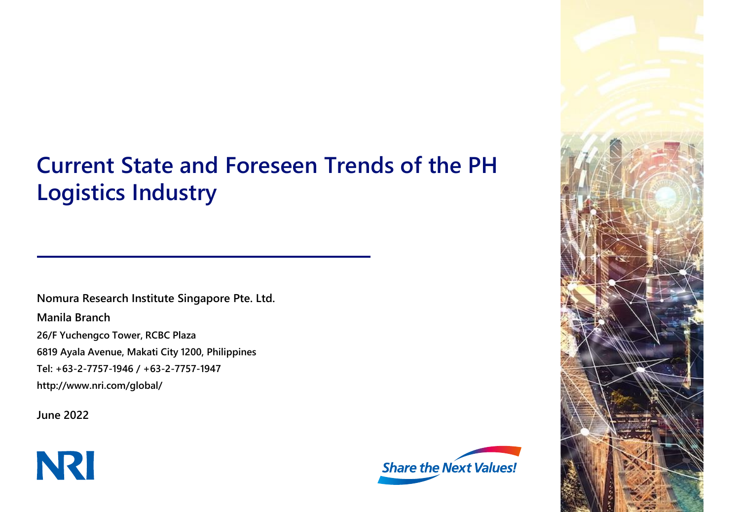# **Current State and Foreseen Trends of the PH Logistics Industry**

**Nomura Research Institute Singapore Pte. Ltd. Manila Branch 26/F Yuchengco Tower, RCBC Plaza 6819 Ayala Avenue, Makati City 1200, Philippines Tel: +63-2-7757-1946 / +63-2-7757-1947 http://www.nri.com/global/**

**June 2022**





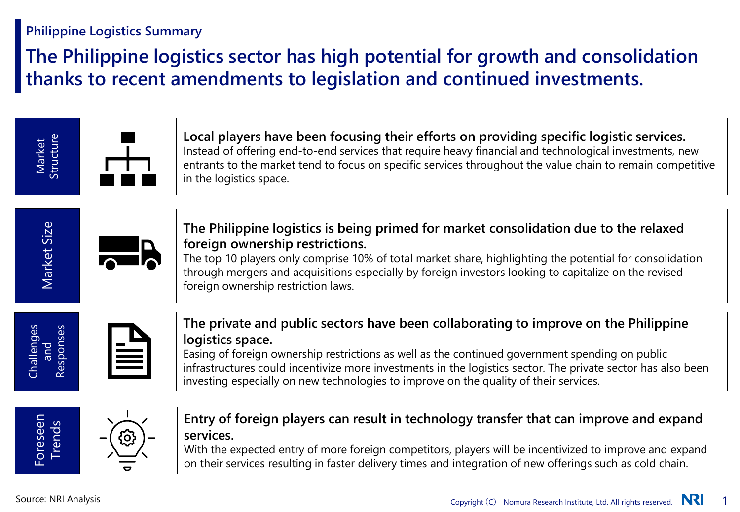# **Philippine Logistics Summary**

# **The Philippine logistics sector has high potential for growth and consolidation thanks to recent amendments to legislation and continued investments.**

**Local players have been focusing their efforts on providing specific logistic services.** Instead of offering end-to-end services that require heavy financial and technological investments, new entrants to the market tend to focus on specific services throughout the value chain to remain competitive in the logistics space.



Market Structure



**The Philippine logistics is being primed for market consolidation due to the relaxed foreign ownership restrictions.**

The top 10 players only comprise 10% of total market share, highlighting the potential for consolidation through mergers and acquisitions especially by foreign investors looking to capitalize on the revised foreign ownership restriction laws.



**The private and public sectors have been collaborating to improve on the Philippine logistics space.**

Easing of foreign ownership restrictions as well as the continued government spending on public infrastructures could incentivize more investments in the logistics sector. The private sector has also been investing especially on new technologies to improve on the quality of their services.



**Entry of foreign players can result in technology transfer that can improve and expand services.**

With the expected entry of more foreign competitors, players will be incentivized to improve and expand on their services resulting in faster delivery times and integration of new offerings such as cold chain.

Challenges and Responses

Foreseen Trends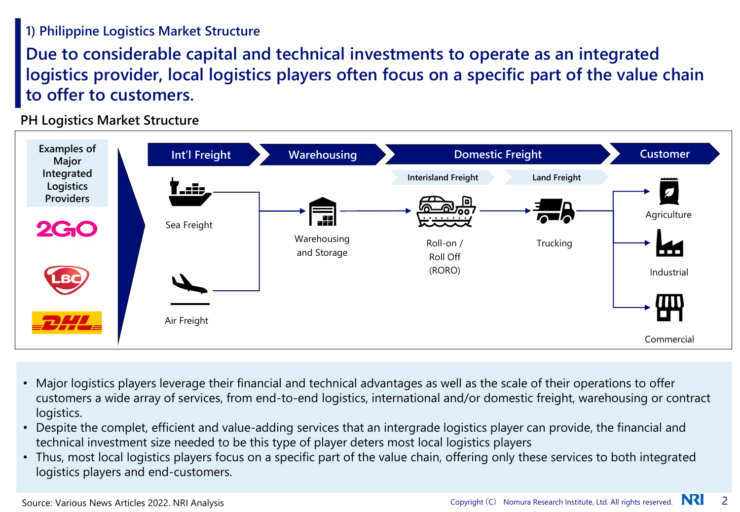# **1) Philippine Logistics Market Structure**

**Due to considerable capital and technical investments to operate as an integrated logistics provider, local logistics players often focus on a specific part of the value chain to offer to customers.** 

**PH Logistics Market Structure**



- Major logistics players leverage their financial and technical advantages as well as the scale of their operations to offer customers a wide array of services, from end-to-end logistics, international and/or domestic freight, warehousing or contract logistics.
- Despite the complet, efficient and value-adding services that an intergrade logistics player can provide, the financial and technical investment size needed to be this type of player deters most local logistics players
- Thus, most local logistics players focus on a specific part of the value chain, offering only these services to both integrated logistics players and end-customers.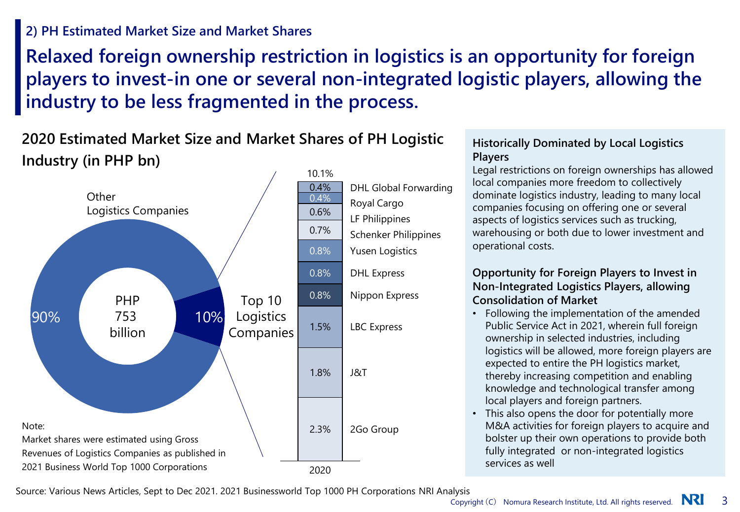## **2) PH Estimated Market Size and Market Shares**

**Relaxed foreign ownership restriction in logistics is an opportunity for foreign players to invest-in one or several non-integrated logistic players, allowing the industry to be less fragmented in the process.** 

# **2020 Estimated Market Size and Market Shares of PH Logistic Industry (in PHP bn)**



### **Historically Dominated by Local Logistics Players**

Legal restrictions on foreign ownerships has allowed local companies more freedom to collectively dominate logistics industry, leading to many local companies focusing on offering one or several aspects of logistics services such as trucking, warehousing or both due to lower investment and operational costs.

### **Opportunity for Foreign Players to Invest in Non-Integrated Logistics Players, allowing Consolidation of Market**

- Following the implementation of the amended Public Service Act in 2021, wherein full foreign ownership in selected industries, including logistics will be allowed, more foreign players are expected to entire the PH logistics market, thereby increasing competition and enabling knowledge and technological transfer among local players and foreign partners.
- This also opens the door for potentially more M&A activities for foreign players to acquire and bolster up their own operations to provide both fully integrated or non-integrated logistics services as well

Source: Various News Articles, Sept to Dec 2021. 2021 Businessworld Top 1000 PH Corporations NRI Analysis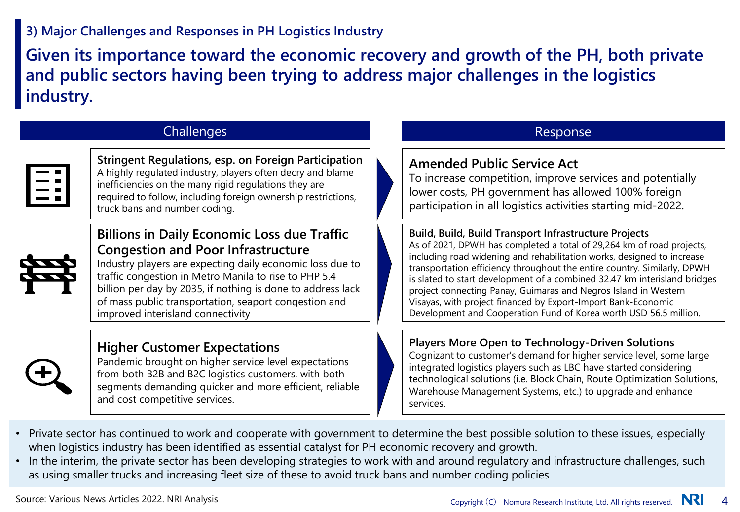# **3) Major Challenges and Responses in PH Logistics Industry**

**Given its importance toward the economic recovery and growth of the PH, both private and public sectors having been trying to address major challenges in the logistics industry.**

### Challenges **Response** Response

|  | ш |
|--|---|
|  |   |
|  |   |
|  |   |

**Stringent Regulations, esp. on Foreign Participation** A highly regulated industry, players often decry and blame inefficiencies on the many rigid regulations they are required to follow, including foreign ownership restrictions, truck bans and number coding.

## **Billions in Daily Economic Loss due Traffic Congestion and Poor Infrastructure**



Industry players are expecting daily economic loss due to traffic congestion in Metro Manila to rise to PHP 5.4 billion per day by 2035, if nothing is done to address lack of mass public transportation, seaport congestion and improved interisland connectivity

## **Higher Customer Expectations**

Pandemic brought on higher service level expectations from both B2B and B2C logistics customers, with both segments demanding quicker and more efficient, reliable and cost competitive services.

### **Amended Public Service Act**

To increase competition, improve services and potentially lower costs, PH government has allowed 100% foreign participation in all logistics activities starting mid-2022.

### **Build, Build, Build Transport Infrastructure Projects**

As of 2021, DPWH has completed a total of 29,264 km of road projects, including road widening and rehabilitation works, designed to increase transportation efficiency throughout the entire country. Similarly, DPWH is slated to start development of a combined 32.47 km interisland bridges project connecting Panay, Guimaras and Negros Island in Western Visayas, with project financed by Export-Import Bank-Economic Development and Cooperation Fund of Korea worth USD 56.5 million.

### **Players More Open to Technology-Driven Solutions**

Cognizant to customer's demand for higher service level, some large integrated logistics players such as LBC have started considering technological solutions (i.e. Block Chain, Route Optimization Solutions, Warehouse Management Systems, etc.) to upgrade and enhance services.

- Private sector has continued to work and cooperate with government to determine the best possible solution to these issues, especially when logistics industry has been identified as essential catalyst for PH economic recovery and growth.
- In the interim, the private sector has been developing strategies to work with and around regulatory and infrastructure challenges, such as using smaller trucks and increasing fleet size of these to avoid truck bans and number coding policies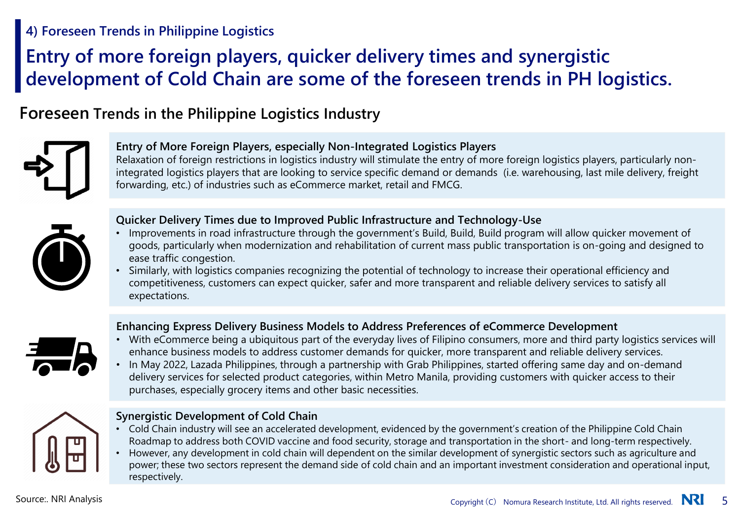## **4) Foreseen Trends in Philippine Logistics**

# **Entry of more foreign players, quicker delivery times and synergistic development of Cold Chain are some of the foreseen trends in PH logistics.**

# **Foreseen Trends in the Philippine Logistics Industry**



### **Entry of More Foreign Players, especially Non-Integrated Logistics Players**

Relaxation of foreign restrictions in logistics industry will stimulate the entry of more foreign logistics players, particularly nonintegrated logistics players that are looking to service specific demand or demands (i.e. warehousing, last mile delivery, freight forwarding, etc.) of industries such as eCommerce market, retail and FMCG.



### **Quicker Delivery Times due to Improved Public Infrastructure and Technology-Use**

- Improvements in road infrastructure through the government's Build, Build, Build program will allow quicker movement of goods, particularly when modernization and rehabilitation of current mass public transportation is on-going and designed to ease traffic congestion.
- Similarly, with logistics companies recognizing the potential of technology to increase their operational efficiency and competitiveness, customers can expect quicker, safer and more transparent and reliable delivery services to satisfy all expectations.

### **Enhancing Express Delivery Business Models to Address Preferences of eCommerce Development**



- With eCommerce being a ubiquitous part of the everyday lives of Filipino consumers, more and third party logistics services will enhance business models to address customer demands for quicker, more transparent and reliable delivery services.
- In May 2022, Lazada Philippines, through a partnership with Grab Philippines, started offering same day and on-demand delivery services for selected product categories, within Metro Manila, providing customers with quicker access to their purchases, especially grocery items and other basic necessities.



### **Synergistic Development of Cold Chain**

- Cold Chain industry will see an accelerated development, evidenced by the government's creation of the Philippine Cold Chain Roadmap to address both COVID vaccine and food security, storage and transportation in the short- and long-term respectively.
- However, any development in cold chain will dependent on the similar development of synergistic sectors such as agriculture and power; these two sectors represent the demand side of cold chain and an important investment consideration and operational input, respectively.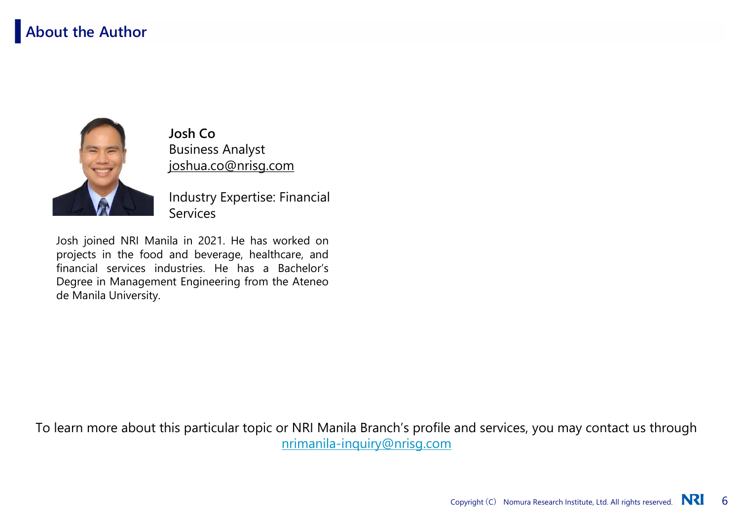# **About the Author**



**Josh Co** Business Analyst joshua.co@nrisg.com

Industry Expertise: Financial **Services** 

Josh joined NRI Manila in 2021. He has worked on projects in the food and beverage, healthcare, and financial services industries. He has a Bachelor's Degree in Management Engineering from the Ateneo de Manila University.

To learn more about this particular topic or NRI Manila Branch's profile and services, you may contact us through [nrimanila-inquiry@nrisg.com](mailto:nriphinquiry@nrisg.com)